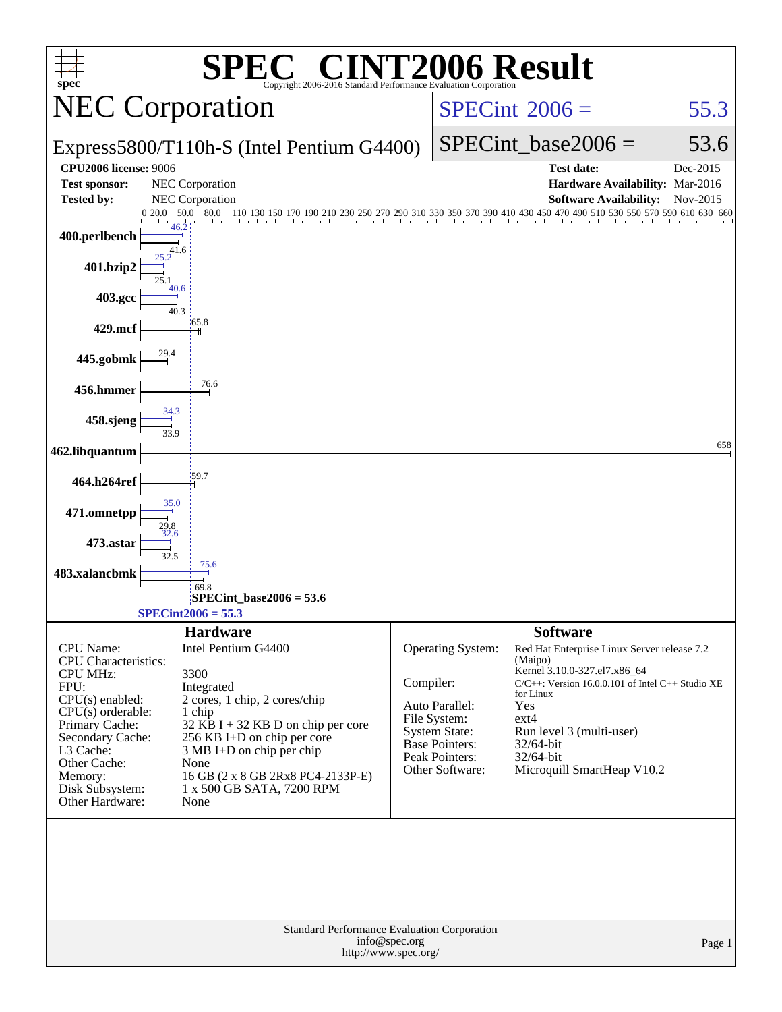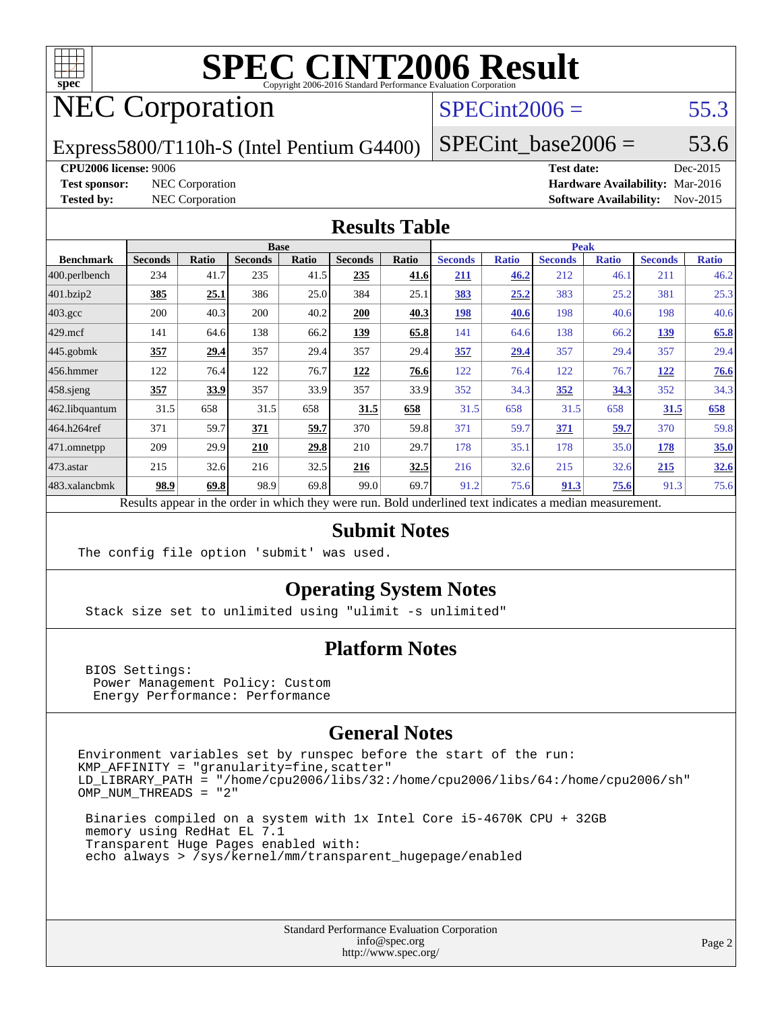

# NEC Corporation

### $SPECint2006 = 55.3$  $SPECint2006 = 55.3$

Express5800/T110h-S (Intel Pentium G4400)

 $SPECTnt\_base2006 = 53.6$ 

#### **[CPU2006 license:](http://www.spec.org/auto/cpu2006/Docs/result-fields.html#CPU2006license)** 9006 **[Test date:](http://www.spec.org/auto/cpu2006/Docs/result-fields.html#Testdate)** Dec-2015

**[Test sponsor:](http://www.spec.org/auto/cpu2006/Docs/result-fields.html#Testsponsor)** NEC Corporation **[Hardware Availability:](http://www.spec.org/auto/cpu2006/Docs/result-fields.html#HardwareAvailability)** Mar-2016 **[Tested by:](http://www.spec.org/auto/cpu2006/Docs/result-fields.html#Testedby)** NEC Corporation **[Software Availability:](http://www.spec.org/auto/cpu2006/Docs/result-fields.html#SoftwareAvailability)** Nov-2015

#### **[Results Table](http://www.spec.org/auto/cpu2006/Docs/result-fields.html#ResultsTable)**

|                  |                |       | <b>Base</b>    |              |                |       | <b>Peak</b>                                                                                              |              |                |              |                |              |
|------------------|----------------|-------|----------------|--------------|----------------|-------|----------------------------------------------------------------------------------------------------------|--------------|----------------|--------------|----------------|--------------|
| <b>Benchmark</b> | <b>Seconds</b> | Ratio | <b>Seconds</b> | <b>Ratio</b> | <b>Seconds</b> | Ratio | <b>Seconds</b>                                                                                           | <b>Ratio</b> | <b>Seconds</b> | <b>Ratio</b> | <b>Seconds</b> | <b>Ratio</b> |
| 400.perlbench    | 234            | 41.7  | 235            | 41.5         | 235            | 41.6  | 211                                                                                                      | 46.2         | 212            | 46.1         | 211            | 46.2         |
| 401.bzip2        | 385            | 25.1  | 386            | 25.0         | 384            | 25.1  | 383                                                                                                      | 25.2         | 383            | 25.2         | 381            | 25.3         |
| $403.\text{gcc}$ | 200            | 40.3  | 200            | 40.2         | 200            | 40.3  | 198                                                                                                      | 40.6         | 198            | 40.6         | 198            | 40.6         |
| $429$ .mcf       | 141            | 64.6  | 138            | 66.2         | 139            | 65.8  | 141                                                                                                      | 64.6         | 138            | 66.2         | 139            | 65.8         |
| $445$ .gobmk     | 357            | 29.4  | 357            | 29.4         | 357            | 29.4  | 357                                                                                                      | 29.4         | 357            | 29.4         | 357            | 29.4         |
| 456.hmmer        | 122            | 76.4  | 122            | 76.7         | 122            | 76.6  | 122                                                                                                      | 76.4         | 122            | 76.7         | 122            | 76.6         |
| $458$ .sjeng     | 357            | 33.9  | 357            | 33.9         | 357            | 33.9  | 352                                                                                                      | 34.3         | 352            | 34.3         | 352            | 34.3         |
| 462.libquantum   | 31.5           | 658   | 31.5           | 658          | 31.5           | 658   | 31.5                                                                                                     | 658          | 31.5           | 658          | 31.5           | 658          |
| 464.h264ref      | 371            | 59.7  | 371            | 59.7         | 370            | 59.8  | 371                                                                                                      | 59.7         | 371            | 59.7         | 370            | 59.8         |
| $ 471$ .omnetpp  | 209            | 29.9  | 210            | 29.8         | 210            | 29.7  | 178                                                                                                      | 35.1         | 178            | 35.0         | 178            | 35.0         |
| $473$ . astar    | 215            | 32.6  | 216            | 32.5         | 216            | 32.5  | 216                                                                                                      | 32.6         | 215            | 32.6         | 215            | 32.6         |
| 483.xalancbmk    | 98.9           | 69.8  | 98.9           | 69.8         | 99.0           | 69.7  | 91.2                                                                                                     | 75.6         | 91.3           | 75.6         | 91.3           | 75.6         |
|                  |                |       |                |              |                |       | Results appear in the order in which they were run. Bold underlined text indicates a median measurement. |              |                |              |                |              |

#### **[Submit Notes](http://www.spec.org/auto/cpu2006/Docs/result-fields.html#SubmitNotes)**

The config file option 'submit' was used.

#### **[Operating System Notes](http://www.spec.org/auto/cpu2006/Docs/result-fields.html#OperatingSystemNotes)**

Stack size set to unlimited using "ulimit -s unlimited"

#### **[Platform Notes](http://www.spec.org/auto/cpu2006/Docs/result-fields.html#PlatformNotes)**

 BIOS Settings: Power Management Policy: Custom Energy Performance: Performance

#### **[General Notes](http://www.spec.org/auto/cpu2006/Docs/result-fields.html#GeneralNotes)**

Environment variables set by runspec before the start of the run:  $KMP_A$ FFINITY = "granularity=fine, scatter" LD\_LIBRARY\_PATH = "/home/cpu2006/libs/32:/home/cpu2006/libs/64:/home/cpu2006/sh" OMP\_NUM\_THREADS = "2"

 Binaries compiled on a system with 1x Intel Core i5-4670K CPU + 32GB memory using RedHat EL 7.1 Transparent Huge Pages enabled with: echo always > /sys/kernel/mm/transparent\_hugepage/enabled

> Standard Performance Evaluation Corporation [info@spec.org](mailto:info@spec.org) <http://www.spec.org/>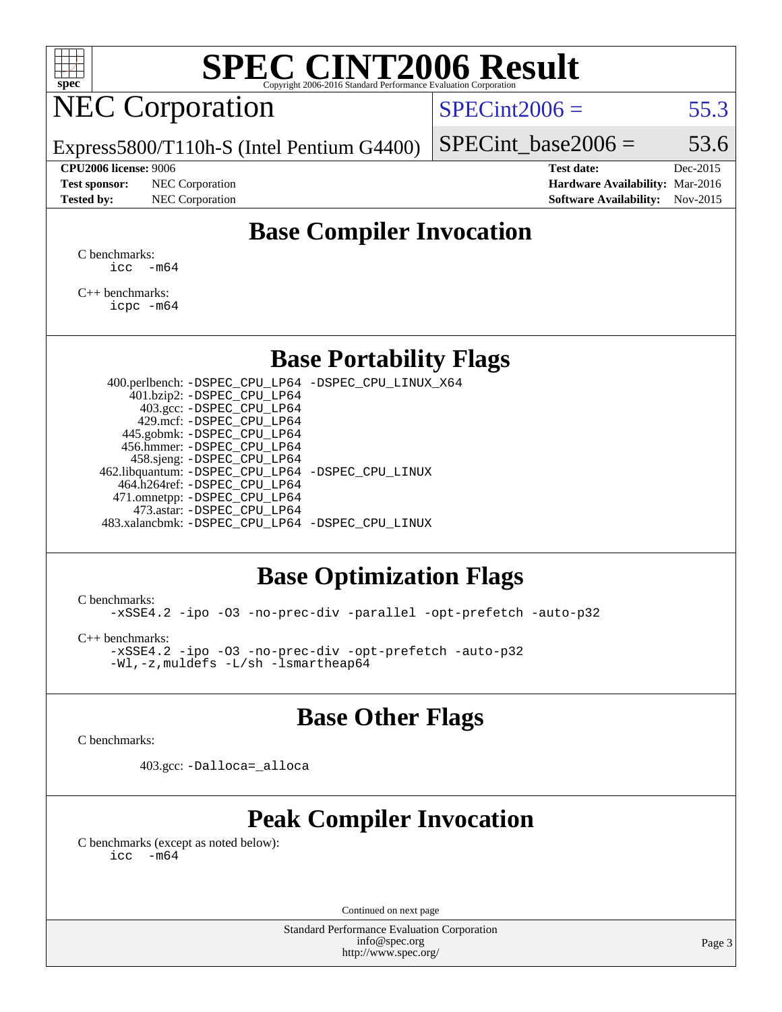| ÷<br>۳<br>۱)<br>z |  |  |  |  |  |  |  |  |
|-------------------|--|--|--|--|--|--|--|--|

# NEC Corporation

 $SPECint2006 = 55.3$  $SPECint2006 = 55.3$ 

Express5800/T110h-S (Intel Pentium G4400)

#### **[CPU2006 license:](http://www.spec.org/auto/cpu2006/Docs/result-fields.html#CPU2006license)** 9006 **[Test date:](http://www.spec.org/auto/cpu2006/Docs/result-fields.html#Testdate)** Dec-2015

**[Test sponsor:](http://www.spec.org/auto/cpu2006/Docs/result-fields.html#Testsponsor)** NEC Corporation **[Hardware Availability:](http://www.spec.org/auto/cpu2006/Docs/result-fields.html#HardwareAvailability)** Mar-2016

SPECint base2006 =  $53.6$ 

**[Tested by:](http://www.spec.org/auto/cpu2006/Docs/result-fields.html#Testedby)** NEC Corporation **[Software Availability:](http://www.spec.org/auto/cpu2006/Docs/result-fields.html#SoftwareAvailability)** Nov-2015

### **[Base Compiler Invocation](http://www.spec.org/auto/cpu2006/Docs/result-fields.html#BaseCompilerInvocation)**

[C benchmarks](http://www.spec.org/auto/cpu2006/Docs/result-fields.html#Cbenchmarks):  $\text{icc}$   $-\text{m64}$ 

[C++ benchmarks:](http://www.spec.org/auto/cpu2006/Docs/result-fields.html#CXXbenchmarks) [icpc -m64](http://www.spec.org/cpu2006/results/res2016q1/cpu2006-20160125-38940.flags.html#user_CXXbase_intel_icpc_64bit_fc66a5337ce925472a5c54ad6a0de310)

#### **[Base Portability Flags](http://www.spec.org/auto/cpu2006/Docs/result-fields.html#BasePortabilityFlags)**

 400.perlbench: [-DSPEC\\_CPU\\_LP64](http://www.spec.org/cpu2006/results/res2016q1/cpu2006-20160125-38940.flags.html#b400.perlbench_basePORTABILITY_DSPEC_CPU_LP64) [-DSPEC\\_CPU\\_LINUX\\_X64](http://www.spec.org/cpu2006/results/res2016q1/cpu2006-20160125-38940.flags.html#b400.perlbench_baseCPORTABILITY_DSPEC_CPU_LINUX_X64) 401.bzip2: [-DSPEC\\_CPU\\_LP64](http://www.spec.org/cpu2006/results/res2016q1/cpu2006-20160125-38940.flags.html#suite_basePORTABILITY401_bzip2_DSPEC_CPU_LP64) 403.gcc: [-DSPEC\\_CPU\\_LP64](http://www.spec.org/cpu2006/results/res2016q1/cpu2006-20160125-38940.flags.html#suite_basePORTABILITY403_gcc_DSPEC_CPU_LP64) 429.mcf: [-DSPEC\\_CPU\\_LP64](http://www.spec.org/cpu2006/results/res2016q1/cpu2006-20160125-38940.flags.html#suite_basePORTABILITY429_mcf_DSPEC_CPU_LP64) 445.gobmk: [-DSPEC\\_CPU\\_LP64](http://www.spec.org/cpu2006/results/res2016q1/cpu2006-20160125-38940.flags.html#suite_basePORTABILITY445_gobmk_DSPEC_CPU_LP64) 456.hmmer: [-DSPEC\\_CPU\\_LP64](http://www.spec.org/cpu2006/results/res2016q1/cpu2006-20160125-38940.flags.html#suite_basePORTABILITY456_hmmer_DSPEC_CPU_LP64) 458.sjeng: [-DSPEC\\_CPU\\_LP64](http://www.spec.org/cpu2006/results/res2016q1/cpu2006-20160125-38940.flags.html#suite_basePORTABILITY458_sjeng_DSPEC_CPU_LP64) 462.libquantum: [-DSPEC\\_CPU\\_LP64](http://www.spec.org/cpu2006/results/res2016q1/cpu2006-20160125-38940.flags.html#suite_basePORTABILITY462_libquantum_DSPEC_CPU_LP64) [-DSPEC\\_CPU\\_LINUX](http://www.spec.org/cpu2006/results/res2016q1/cpu2006-20160125-38940.flags.html#b462.libquantum_baseCPORTABILITY_DSPEC_CPU_LINUX) 464.h264ref: [-DSPEC\\_CPU\\_LP64](http://www.spec.org/cpu2006/results/res2016q1/cpu2006-20160125-38940.flags.html#suite_basePORTABILITY464_h264ref_DSPEC_CPU_LP64) 471.omnetpp: [-DSPEC\\_CPU\\_LP64](http://www.spec.org/cpu2006/results/res2016q1/cpu2006-20160125-38940.flags.html#suite_basePORTABILITY471_omnetpp_DSPEC_CPU_LP64) 473.astar: [-DSPEC\\_CPU\\_LP64](http://www.spec.org/cpu2006/results/res2016q1/cpu2006-20160125-38940.flags.html#suite_basePORTABILITY473_astar_DSPEC_CPU_LP64) 483.xalancbmk: [-DSPEC\\_CPU\\_LP64](http://www.spec.org/cpu2006/results/res2016q1/cpu2006-20160125-38940.flags.html#suite_basePORTABILITY483_xalancbmk_DSPEC_CPU_LP64) [-DSPEC\\_CPU\\_LINUX](http://www.spec.org/cpu2006/results/res2016q1/cpu2006-20160125-38940.flags.html#b483.xalancbmk_baseCXXPORTABILITY_DSPEC_CPU_LINUX)

#### **[Base Optimization Flags](http://www.spec.org/auto/cpu2006/Docs/result-fields.html#BaseOptimizationFlags)**

[C benchmarks](http://www.spec.org/auto/cpu2006/Docs/result-fields.html#Cbenchmarks):

[-xSSE4.2](http://www.spec.org/cpu2006/results/res2016q1/cpu2006-20160125-38940.flags.html#user_CCbase_f-xSSE42_f91528193cf0b216347adb8b939d4107) [-ipo](http://www.spec.org/cpu2006/results/res2016q1/cpu2006-20160125-38940.flags.html#user_CCbase_f-ipo) [-O3](http://www.spec.org/cpu2006/results/res2016q1/cpu2006-20160125-38940.flags.html#user_CCbase_f-O3) [-no-prec-div](http://www.spec.org/cpu2006/results/res2016q1/cpu2006-20160125-38940.flags.html#user_CCbase_f-no-prec-div) [-parallel](http://www.spec.org/cpu2006/results/res2016q1/cpu2006-20160125-38940.flags.html#user_CCbase_f-parallel) [-opt-prefetch](http://www.spec.org/cpu2006/results/res2016q1/cpu2006-20160125-38940.flags.html#user_CCbase_f-opt-prefetch) [-auto-p32](http://www.spec.org/cpu2006/results/res2016q1/cpu2006-20160125-38940.flags.html#user_CCbase_f-auto-p32)

[C++ benchmarks:](http://www.spec.org/auto/cpu2006/Docs/result-fields.html#CXXbenchmarks)

[-xSSE4.2](http://www.spec.org/cpu2006/results/res2016q1/cpu2006-20160125-38940.flags.html#user_CXXbase_f-xSSE42_f91528193cf0b216347adb8b939d4107) [-ipo](http://www.spec.org/cpu2006/results/res2016q1/cpu2006-20160125-38940.flags.html#user_CXXbase_f-ipo) [-O3](http://www.spec.org/cpu2006/results/res2016q1/cpu2006-20160125-38940.flags.html#user_CXXbase_f-O3) [-no-prec-div](http://www.spec.org/cpu2006/results/res2016q1/cpu2006-20160125-38940.flags.html#user_CXXbase_f-no-prec-div) [-opt-prefetch](http://www.spec.org/cpu2006/results/res2016q1/cpu2006-20160125-38940.flags.html#user_CXXbase_f-opt-prefetch) [-auto-p32](http://www.spec.org/cpu2006/results/res2016q1/cpu2006-20160125-38940.flags.html#user_CXXbase_f-auto-p32) [-Wl,-z,muldefs](http://www.spec.org/cpu2006/results/res2016q1/cpu2006-20160125-38940.flags.html#user_CXXbase_link_force_multiple1_74079c344b956b9658436fd1b6dd3a8a) [-L/sh -lsmartheap64](http://www.spec.org/cpu2006/results/res2016q1/cpu2006-20160125-38940.flags.html#user_CXXbase_SmartHeap64_ed4ef857ce90951921efb0d91eb88472)

#### **[Base Other Flags](http://www.spec.org/auto/cpu2006/Docs/result-fields.html#BaseOtherFlags)**

[C benchmarks](http://www.spec.org/auto/cpu2006/Docs/result-fields.html#Cbenchmarks):

403.gcc: [-Dalloca=\\_alloca](http://www.spec.org/cpu2006/results/res2016q1/cpu2006-20160125-38940.flags.html#b403.gcc_baseEXTRA_CFLAGS_Dalloca_be3056838c12de2578596ca5467af7f3)

### **[Peak Compiler Invocation](http://www.spec.org/auto/cpu2006/Docs/result-fields.html#PeakCompilerInvocation)**

[C benchmarks \(except as noted below\)](http://www.spec.org/auto/cpu2006/Docs/result-fields.html#Cbenchmarksexceptasnotedbelow):  $\text{icc}$  -m64

Continued on next page

Standard Performance Evaluation Corporation [info@spec.org](mailto:info@spec.org) <http://www.spec.org/>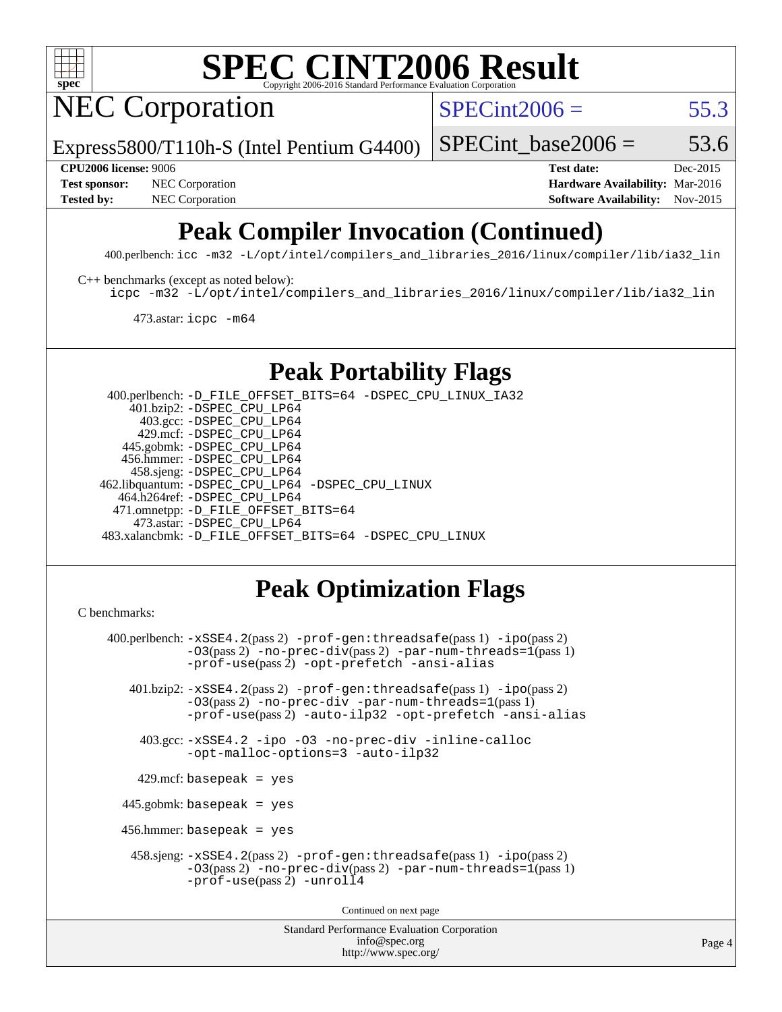

NEC Corporation

 $SPECint2006 = 55.3$  $SPECint2006 = 55.3$ 

Express5800/T110h-S (Intel Pentium G4400)

SPECint base2006 =  $53.6$ 

**[Test sponsor:](http://www.spec.org/auto/cpu2006/Docs/result-fields.html#Testsponsor)** NEC Corporation **NEC Corporation [Hardware Availability:](http://www.spec.org/auto/cpu2006/Docs/result-fields.html#HardwareAvailability)** Mar-2016

**[CPU2006 license:](http://www.spec.org/auto/cpu2006/Docs/result-fields.html#CPU2006license)** 9006 **[Test date:](http://www.spec.org/auto/cpu2006/Docs/result-fields.html#Testdate)** Dec-2015 [Tested by:](http://www.spec.org/auto/cpu2006/Docs/result-fields.html#Testedby) NEC Corporation **[Software Availability:](http://www.spec.org/auto/cpu2006/Docs/result-fields.html#SoftwareAvailability)** Nov-2015

# **[Peak Compiler Invocation \(Continued\)](http://www.spec.org/auto/cpu2006/Docs/result-fields.html#PeakCompilerInvocation)**

400.perlbench: [icc -m32 -L/opt/intel/compilers\\_and\\_libraries\\_2016/linux/compiler/lib/ia32\\_lin](http://www.spec.org/cpu2006/results/res2016q1/cpu2006-20160125-38940.flags.html#user_peakCCLD400_perlbench_intel_icc_e10256ba5924b668798078a321b0cb3f)

[C++ benchmarks \(except as noted below\):](http://www.spec.org/auto/cpu2006/Docs/result-fields.html#CXXbenchmarksexceptasnotedbelow)

[icpc -m32 -L/opt/intel/compilers\\_and\\_libraries\\_2016/linux/compiler/lib/ia32\\_lin](http://www.spec.org/cpu2006/results/res2016q1/cpu2006-20160125-38940.flags.html#user_CXXpeak_intel_icpc_b4f50a394bdb4597aa5879c16bc3f5c5)

473.astar: [icpc -m64](http://www.spec.org/cpu2006/results/res2016q1/cpu2006-20160125-38940.flags.html#user_peakCXXLD473_astar_intel_icpc_64bit_fc66a5337ce925472a5c54ad6a0de310)

### **[Peak Portability Flags](http://www.spec.org/auto/cpu2006/Docs/result-fields.html#PeakPortabilityFlags)**

 400.perlbench: [-D\\_FILE\\_OFFSET\\_BITS=64](http://www.spec.org/cpu2006/results/res2016q1/cpu2006-20160125-38940.flags.html#user_peakPORTABILITY400_perlbench_file_offset_bits_64_438cf9856305ebd76870a2c6dc2689ab) [-DSPEC\\_CPU\\_LINUX\\_IA32](http://www.spec.org/cpu2006/results/res2016q1/cpu2006-20160125-38940.flags.html#b400.perlbench_peakCPORTABILITY_DSPEC_CPU_LINUX_IA32) 401.bzip2: [-DSPEC\\_CPU\\_LP64](http://www.spec.org/cpu2006/results/res2016q1/cpu2006-20160125-38940.flags.html#suite_peakPORTABILITY401_bzip2_DSPEC_CPU_LP64) 403.gcc: [-DSPEC\\_CPU\\_LP64](http://www.spec.org/cpu2006/results/res2016q1/cpu2006-20160125-38940.flags.html#suite_peakPORTABILITY403_gcc_DSPEC_CPU_LP64) 429.mcf: [-DSPEC\\_CPU\\_LP64](http://www.spec.org/cpu2006/results/res2016q1/cpu2006-20160125-38940.flags.html#suite_peakPORTABILITY429_mcf_DSPEC_CPU_LP64) 445.gobmk: [-DSPEC\\_CPU\\_LP64](http://www.spec.org/cpu2006/results/res2016q1/cpu2006-20160125-38940.flags.html#suite_peakPORTABILITY445_gobmk_DSPEC_CPU_LP64) 456.hmmer: [-DSPEC\\_CPU\\_LP64](http://www.spec.org/cpu2006/results/res2016q1/cpu2006-20160125-38940.flags.html#suite_peakPORTABILITY456_hmmer_DSPEC_CPU_LP64) 458.sjeng: [-DSPEC\\_CPU\\_LP64](http://www.spec.org/cpu2006/results/res2016q1/cpu2006-20160125-38940.flags.html#suite_peakPORTABILITY458_sjeng_DSPEC_CPU_LP64) 462.libquantum: [-DSPEC\\_CPU\\_LP64](http://www.spec.org/cpu2006/results/res2016q1/cpu2006-20160125-38940.flags.html#suite_peakPORTABILITY462_libquantum_DSPEC_CPU_LP64) [-DSPEC\\_CPU\\_LINUX](http://www.spec.org/cpu2006/results/res2016q1/cpu2006-20160125-38940.flags.html#b462.libquantum_peakCPORTABILITY_DSPEC_CPU_LINUX) 464.h264ref: [-DSPEC\\_CPU\\_LP64](http://www.spec.org/cpu2006/results/res2016q1/cpu2006-20160125-38940.flags.html#suite_peakPORTABILITY464_h264ref_DSPEC_CPU_LP64) 471.omnetpp: [-D\\_FILE\\_OFFSET\\_BITS=64](http://www.spec.org/cpu2006/results/res2016q1/cpu2006-20160125-38940.flags.html#user_peakPORTABILITY471_omnetpp_file_offset_bits_64_438cf9856305ebd76870a2c6dc2689ab) 473.astar: [-DSPEC\\_CPU\\_LP64](http://www.spec.org/cpu2006/results/res2016q1/cpu2006-20160125-38940.flags.html#suite_peakPORTABILITY473_astar_DSPEC_CPU_LP64) 483.xalancbmk: [-D\\_FILE\\_OFFSET\\_BITS=64](http://www.spec.org/cpu2006/results/res2016q1/cpu2006-20160125-38940.flags.html#user_peakPORTABILITY483_xalancbmk_file_offset_bits_64_438cf9856305ebd76870a2c6dc2689ab) [-DSPEC\\_CPU\\_LINUX](http://www.spec.org/cpu2006/results/res2016q1/cpu2006-20160125-38940.flags.html#b483.xalancbmk_peakCXXPORTABILITY_DSPEC_CPU_LINUX)

### **[Peak Optimization Flags](http://www.spec.org/auto/cpu2006/Docs/result-fields.html#PeakOptimizationFlags)**

<http://www.spec.org/>

```
Standard Performance Evaluation Corporation
                                          info@spec.org
C benchmarks: 
     400.perlbench: -xSSE4.2(pass 2) -prof-gen:threadsafe(pass 1) -ipo(pass 2)
                -03(pass 2)-no-prec-div-par-num-threads=1(pass 1)
                -prof-use(pass 2) -opt-prefetch -ansi-alias
        401.bzip2: -xSSE4.2(pass 2) -prof-gen:threadsafe(pass 1) -ipo(pass 2)
                -O3(pass 2) -no-prec-div -par-num-threads=1(pass 1)
                -prof-use(pass 2) -auto-ilp32 -opt-prefetch -ansi-alias
          403.gcc: -xSSE4.2 -ipo -O3 -no-prec-div -inline-calloc
                -opt-malloc-options=3 -auto-ilp32
         429.mcf: basepeak = yes
       445.gobmk: basepeak = yes
       456.hmmer: basepeak = yes
         458.sjeng: -xSSE4.2(pass 2) -prof-gen:threadsafe(pass 1) -ipo(pass 2)
                -O3(pass 2) -no-prec-div(pass 2) -par-num-threads=1(pass 1)
                -prof-use(pass 2) -unroll4
                                        Continued on next page
```